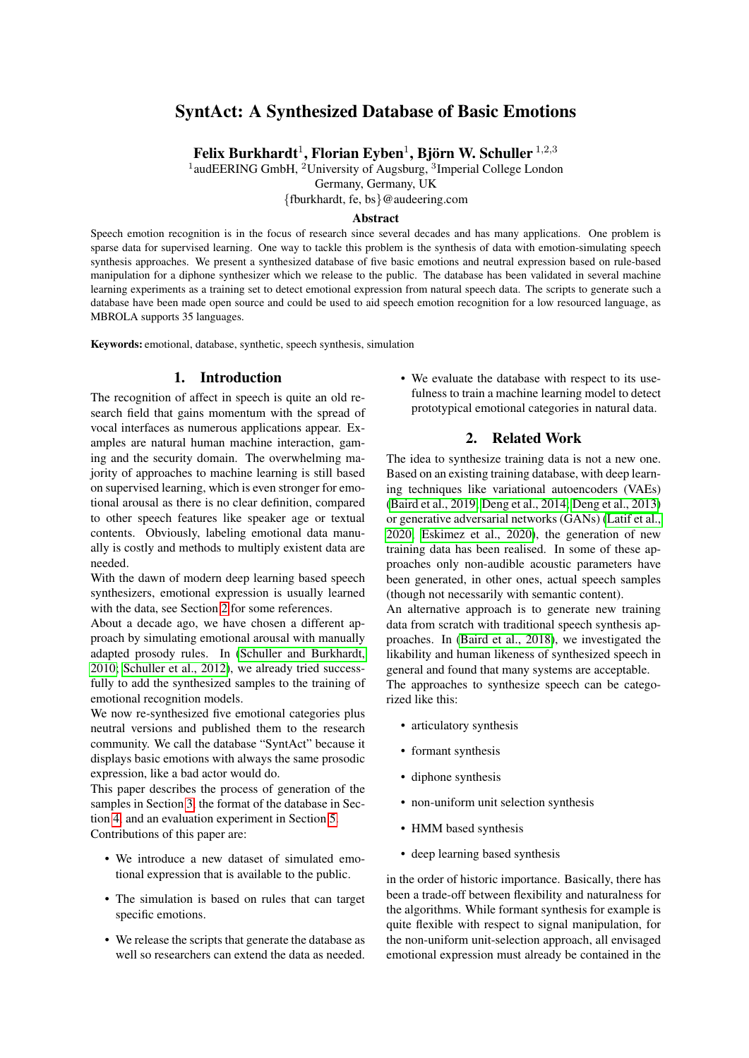# SyntAct: A Synthesized Database of Basic Emotions

Felix Burkhardt<sup>1</sup>, Florian Eyben<sup>1</sup>, Björn W. Schuller<sup>1,2,3</sup>

<sup>1</sup>audEERING GmbH, <sup>2</sup>University of Augsburg, <sup>3</sup>Imperial College London

Germany, Germany, UK

{fburkhardt, fe, bs}@audeering.com

#### Abstract

Speech emotion recognition is in the focus of research since several decades and has many applications. One problem is sparse data for supervised learning. One way to tackle this problem is the synthesis of data with emotion-simulating speech synthesis approaches. We present a synthesized database of five basic emotions and neutral expression based on rule-based manipulation for a diphone synthesizer which we release to the public. The database has been validated in several machine learning experiments as a training set to detect emotional expression from natural speech data. The scripts to generate such a database have been made open source and could be used to aid speech emotion recognition for a low resourced language, as MBROLA supports 35 languages.

Keywords: emotional, database, synthetic, speech synthesis, simulation

### 1. Introduction

The recognition of affect in speech is quite an old research field that gains momentum with the spread of vocal interfaces as numerous applications appear. Examples are natural human machine interaction, gaming and the security domain. The overwhelming majority of approaches to machine learning is still based on supervised learning, which is even stronger for emotional arousal as there is no clear definition, compared to other speech features like speaker age or textual contents. Obviously, labeling emotional data manually is costly and methods to multiply existent data are needed.

With the dawn of modern deep learning based speech synthesizers, emotional expression is usually learned with the data, see Section [2](#page-0-0) for some references.

About a decade ago, we have chosen a different approach by simulating emotional arousal with manually adapted prosody rules. In [\(Schuller and Burkhardt,](#page-7-0) [2010;](#page-7-0) [Schuller et al., 2012\)](#page-7-1), we already tried successfully to add the synthesized samples to the training of emotional recognition models.

We now re-synthesized five emotional categories plus neutral versions and published them to the research community. We call the database "SyntAct" because it displays basic emotions with always the same prosodic expression, like a bad actor would do.

This paper describes the process of generation of the samples in Section [3,](#page-1-0) the format of the database in Section [4,](#page-3-0) and an evaluation experiment in Section [5.](#page-3-1) Contributions of this paper are:

- We introduce a new dataset of simulated emotional expression that is available to the public.
- The simulation is based on rules that can target specific emotions.
- We release the scripts that generate the database as well so researchers can extend the data as needed.

• We evaluate the database with respect to its usefulness to train a machine learning model to detect prototypical emotional categories in natural data.

# 2. Related Work

<span id="page-0-0"></span>The idea to synthesize training data is not a new one. Based on an existing training database, with deep learning techniques like variational autoencoders (VAEs) [\(Baird et al., 2019;](#page-6-0) [Deng et al., 2014;](#page-7-2) [Deng et al., 2013\)](#page-7-3) or generative adversarial networks (GANs) [\(Latif et al.,](#page-7-4) [2020;](#page-7-4) [Eskimez et al., 2020\)](#page-7-5), the generation of new training data has been realised. In some of these approaches only non-audible acoustic parameters have been generated, in other ones, actual speech samples (though not necessarily with semantic content).

An alternative approach is to generate new training data from scratch with traditional speech synthesis approaches. In [\(Baird et al., 2018\)](#page-6-1), we investigated the likability and human likeness of synthesized speech in general and found that many systems are acceptable.

The approaches to synthesize speech can be categorized like this:

- articulatory synthesis
- formant synthesis
- diphone synthesis
- non-uniform unit selection synthesis
- HMM based synthesis
- deep learning based synthesis

in the order of historic importance. Basically, there has been a trade-off between flexibility and naturalness for the algorithms. While formant synthesis for example is quite flexible with respect to signal manipulation, for the non-uniform unit-selection approach, all envisaged emotional expression must already be contained in the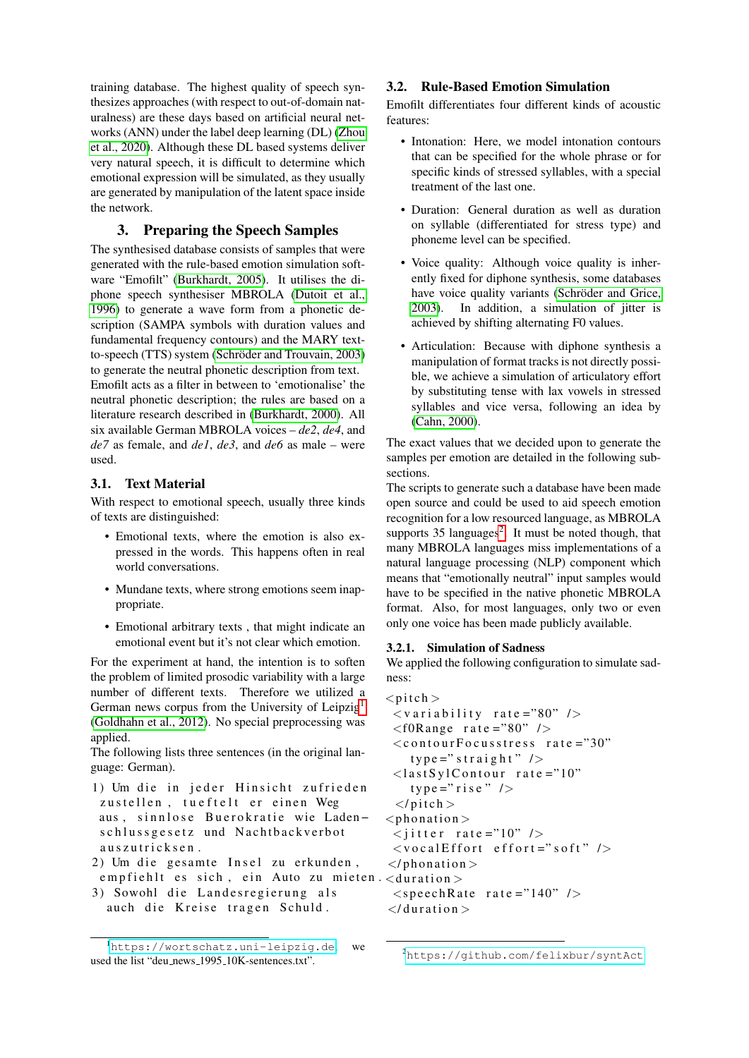training database. The highest quality of speech synthesizes approaches (with respect to out-of-domain naturalness) are these days based on artificial neural networks (ANN) under the label deep learning (DL) [\(Zhou](#page-8-0) [et al., 2020\)](#page-8-0). Although these DL based systems deliver very natural speech, it is difficult to determine which emotional expression will be simulated, as they usually are generated by manipulation of the latent space inside the network.

# 3. Preparing the Speech Samples

<span id="page-1-0"></span>The synthesised database consists of samples that were generated with the rule-based emotion simulation software "Emofilt" [\(Burkhardt, 2005\)](#page-7-6). It utilises the diphone speech synthesiser MBROLA [\(Dutoit et al.,](#page-7-7) [1996\)](#page-7-7) to generate a wave form from a phonetic description (SAMPA symbols with duration values and fundamental frequency contours) and the MARY textto-speech (TTS) system (Schröder and Trouvain, 2003) to generate the neutral phonetic description from text. Emofilt acts as a filter in between to 'emotionalise' the neutral phonetic description; the rules are based on a literature research described in [\(Burkhardt, 2000\)](#page-6-2). All six available German MBROLA voices – *de2*, *de4*, and *de7* as female, and *de1*, *de3*, and *de6* as male – were used.

# 3.1. Text Material

With respect to emotional speech, usually three kinds of texts are distinguished:

- Emotional texts, where the emotion is also expressed in the words. This happens often in real world conversations.
- Mundane texts, where strong emotions seem inappropriate.
- Emotional arbitrary texts , that might indicate an emotional event but it's not clear which emotion.

For the experiment at hand, the intention is to soften the problem of limited prosodic variability with a large number of different texts. Therefore we utilized a German news corpus from the University of Leipzig<sup>[1](#page-1-1)</sup> [\(Goldhahn et al., 2012\)](#page-7-9). No special preprocessing was applied.

The following lists three sentences (in the original language: German).

- 1) Um die in jeder Hinsicht zufrieden zustellen, tueftelt er einen Weg aus, sinnlose Buerokratie wie Ladenschlussgesetz und Nachtbackverbot auszutricksen.
- 2) Um die gesamte Insel zu erkunden, empfiehlt es sich, ein Auto zu mieten.<duration>
- 3) Sowohl die Landesregierung als auch die Kreise tragen Schuld.

### 3.2. Rule-Based Emotion Simulation

Emofilt differentiates four different kinds of acoustic features:

- Intonation: Here, we model intonation contours that can be specified for the whole phrase or for specific kinds of stressed syllables, with a special treatment of the last one.
- Duration: General duration as well as duration on syllable (differentiated for stress type) and phoneme level can be specified.
- Voice quality: Although voice quality is inherently fixed for diphone synthesis, some databases have voice quality variants (Schröder and Grice, [2003\)](#page-7-10). In addition, a simulation of jitter is achieved by shifting alternating F0 values.
- Articulation: Because with diphone synthesis a manipulation of format tracks is not directly possible, we achieve a simulation of articulatory effort by substituting tense with lax vowels in stressed syllables and vice versa, following an idea by [\(Cahn, 2000\)](#page-7-11).

The exact values that we decided upon to generate the samples per emotion are detailed in the following subsections.

The scripts to generate such a database have been made open source and could be used to aid speech emotion recognition for a low resourced language, as MBROLA supports  $35$  languages<sup>[2](#page-1-2)</sup>. It must be noted though, that many MBROLA languages miss implementations of a natural language processing (NLP) component which means that "emotionally neutral" input samples would have to be specified in the native phonetic MBROLA format. Also, for most languages, only two or even only one voice has been made publicly available.

### 3.2.1. Simulation of Sadness

We applied the following configuration to simulate sadness:

```
<pit ch >\langlevariability rate ="80" />
 <f0Range rate = "80" />
 <contourFocusstress rate ="30"
   type = "strainight" />
 <last Syl Contour rate ="10"
   type = "rise" />
 </pitch>
<phonation >
\langle jitter rate ="10" />
\langlevocalEffort effort="soft" />
\langle/phonation >
 \langlespeechRate rate ="140" />
\langle/duration >
```
<span id="page-1-1"></span><sup>1</sup><https://wortschatz.uni-leipzig.de>; we used the list "deu news 1995 10K-sentences.txt".

<span id="page-1-2"></span><sup>2</sup><https://github.com/felixbur/syntAct>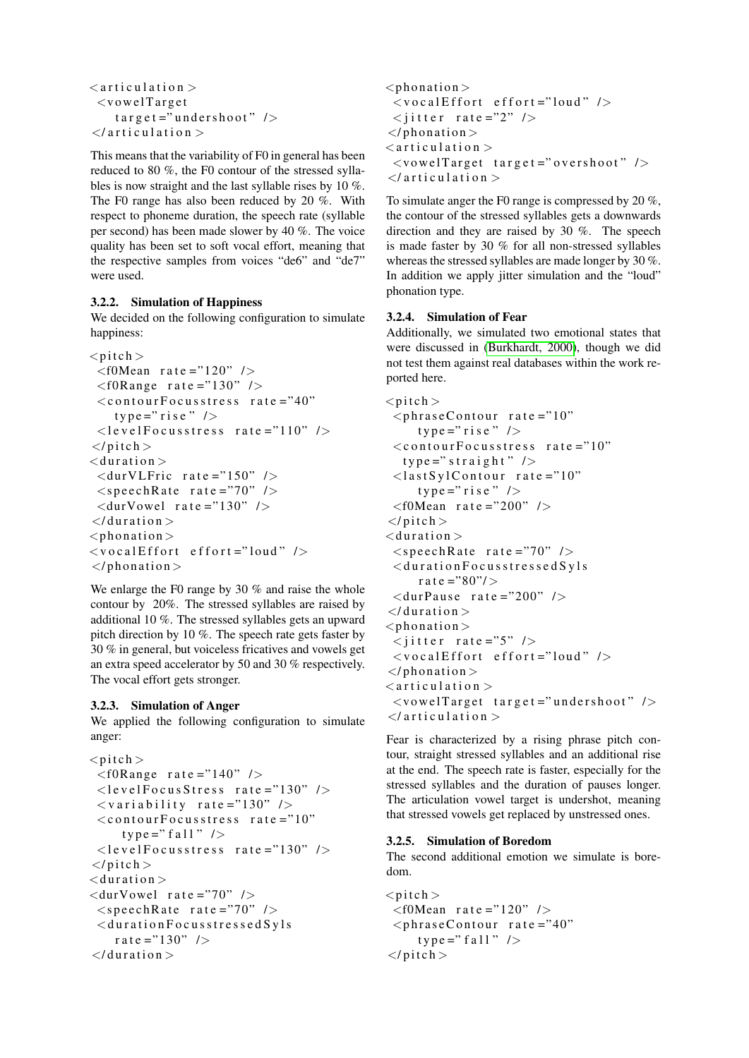```
<articulation >\langlevowel Target
    t arget ="undershoot" />
\langle articulation >
```
This means that the variability of F0 in general has been reduced to 80 %, the F0 contour of the stressed syllables is now straight and the last syllable rises by 10 %. The F0 range has also been reduced by 20 %. With respect to phoneme duration, the speech rate (syllable per second) has been made slower by 40 %. The voice quality has been set to soft vocal effort, meaning that the respective samples from voices "de6" and "de7" were used.

### 3.2.2. Simulation of Happiness

We decided on the following configuration to simulate happiness:

```
\langlepitch \rangle<f0Mean rate ="120" />
 <f0Range rate ="130" />
 <contourFocusstress rate ="40"
    type=" rise" />
 \langlelevelFocusstress rate ="110" />
</pitch>
<duration >\langle \text{durVLFric rate} = "150" />
 <speechRate rate ="70" />
 \langle \text{durVowel rate} = "130" />
\langle/duration >
<phonation >\langlevocalEffort effort="loud" />
\langle/phonation >
```
We enlarge the F0 range by 30 % and raise the whole contour by 20%. The stressed syllables are raised by additional 10 %. The stressed syllables gets an upward pitch direction by 10 %. The speech rate gets faster by 30 % in general, but voiceless fricatives and vowels get an extra speed accelerator by 50 and 30 % respectively. The vocal effort gets stronger.

# 3.2.3. Simulation of Anger

We applied the following configuration to simulate anger:

```
<pitch ><f0Range rate = "140" />
 <levelFocusStress rate ="130" />
 \langle v a r i a b i l i t y r a t e = "130" />
 <contourFocusstress rate ="10"
      t y p e = \text{a} f a l \text{b} />
 \langlelevel Focusstress rate = "130" />
\langle/pitch>
<duration >\langle \text{durVowel rate} = "70" \rangle\langlespeechRate rate ="70" />
 <d u r a t i o n F o c u s s t r e s s e d S y l s
     r a t e = "130" />
\langle/duration >
```

```
<phonation >\langlevocalEffort effort="loud" />
 \langlejitter rate ="2" />
\langle/phonation >\langle articulation \rangle\langlevowelTarget target ="overshoot" />
\langle articulation >
```
To simulate anger the F0 range is compressed by 20 %, the contour of the stressed syllables gets a downwards direction and they are raised by 30 %. The speech is made faster by 30 % for all non-stressed syllables whereas the stressed syllables are made longer by 30 %. In addition we apply jitter simulation and the "loud" phonation type.

### 3.2.4. Simulation of Fear

Additionally, we simulated two emotional states that were discussed in [\(Burkhardt, 2000\)](#page-6-2), though we did not test them against real databases within the work reported here.

```
<pitch >\langlephraseContour rate ="10"
     type=" rise"<contourFocusstress rate ="10"
  type = "strainight" />
 <last Syl Contour rate ="10"
     type=" rise"<f0Mean rate ="200" />
\langle/pitch>
<duration >\langlespeechRate rate ="70" />
 \langle duration Focusstressed Syls
     r a t e = "80"/>
 \langle durPause rate ="200" />
\langle/duration >
<phonation >\langle jitter rate ="5" />
 \langlevocalEffort effort="loud" />
</phonation >
\langle articulation \rangle\langlevowelTarget target ="undershoot" />
\langle articulation >
```
Fear is characterized by a rising phrase pitch contour, straight stressed syllables and an additional rise at the end. The speech rate is faster, especially for the stressed syllables and the duration of pauses longer. The articulation vowel target is undershot, meaning that stressed vowels get replaced by unstressed ones.

# 3.2.5. Simulation of Boredom

The second additional emotion we simulate is boredom.

```
\langle pitch \rangle<f0Mean rate ="120" />
 \langlephraseContour rate ="40"
      t y p e = " f a 11 " />
</pitch >
```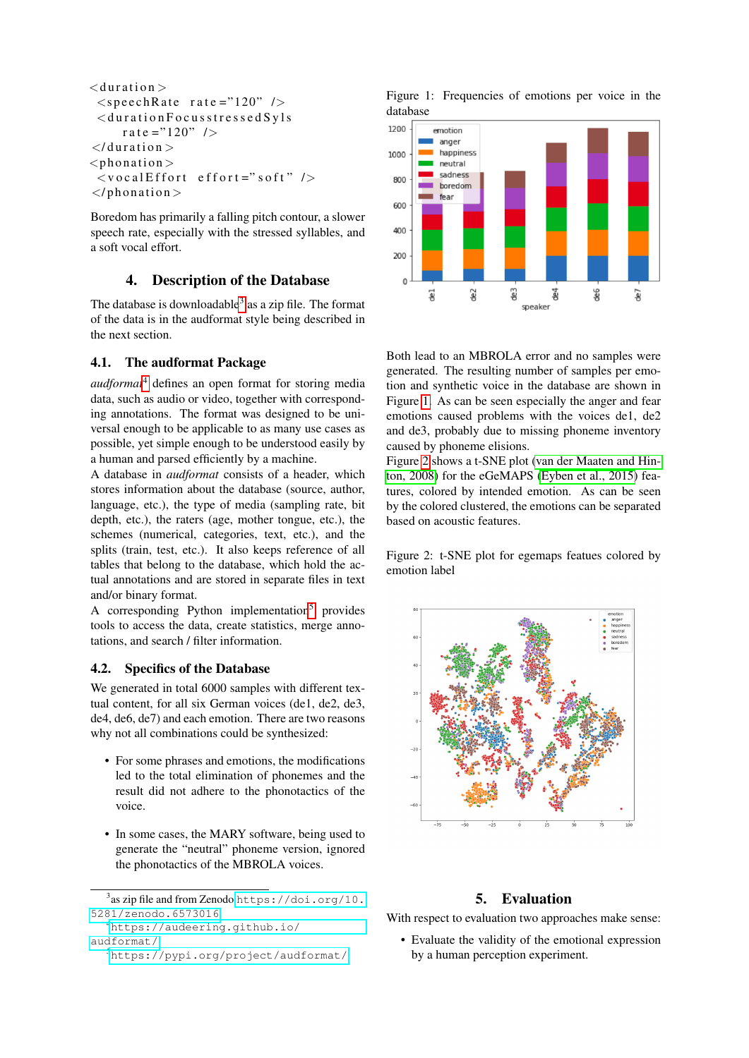```
<duration >\langlespeechRate rate ="120" />
 <duration Focusstressed Syls
     rate = "120" />
\langle/duration ><phonation >\langlevocalEffort effort="soft" />
\langle/phonation >
```
Boredom has primarily a falling pitch contour, a slower speech rate, especially with the stressed syllables, and a soft vocal effort.

# 4. Description of the Database

<span id="page-3-0"></span>The database is downloadable<sup>[3](#page-3-2)</sup> as a zip file. The format of the data is in the audformat style being described in the next section.

### 4.1. The audformat Package

*audformat*[4](#page-3-3) defines an open format for storing media data, such as audio or video, together with corresponding annotations. The format was designed to be universal enough to be applicable to as many use cases as possible, yet simple enough to be understood easily by a human and parsed efficiently by a machine.

A database in *audformat* consists of a header, which stores information about the database (source, author, language, etc.), the type of media (sampling rate, bit depth, etc.), the raters (age, mother tongue, etc.), the schemes (numerical, categories, text, etc.), and the splits (train, test, etc.). It also keeps reference of all tables that belong to the database, which hold the actual annotations and are stored in separate files in text and/or binary format.

A corresponding Python implementation<sup>[5](#page-3-4)</sup> provides tools to access the data, create statistics, merge annotations, and search / filter information.

### 4.2. Specifics of the Database

We generated in total 6000 samples with different textual content, for all six German voices (de1, de2, de3, de4, de6, de7) and each emotion. There are two reasons why not all combinations could be synthesized:

- For some phrases and emotions, the modifications led to the total elimination of phonemes and the result did not adhere to the phonotactics of the voice.
- In some cases, the MARY software, being used to generate the "neutral" phoneme version, ignored the phonotactics of the MBROLA voices.

```
4https://audeering.github.io/
```

```
audformat/
```

```
5https://pypi.org/project/audformat/
```
<span id="page-3-5"></span>



Both lead to an MBROLA error and no samples were generated. The resulting number of samples per emotion and synthetic voice in the database are shown in Figure [1.](#page-3-5) As can be seen especially the anger and fear emotions caused problems with the voices de1, de2 and de3, probably due to missing phoneme inventory caused by phoneme elisions.

Figure [2](#page-3-6) shows a t-SNE plot [\(van der Maaten and Hin](#page-8-1)[ton, 2008\)](#page-8-1) for the eGeMAPS [\(Eyben et al., 2015\)](#page-7-12) features, colored by intended emotion. As can be seen by the colored clustered, the emotions can be separated based on acoustic features.

<span id="page-3-6"></span>Figure 2: t-SNE plot for egemaps featues colored by emotion label



# 5. Evaluation

<span id="page-3-1"></span>With respect to evaluation two approaches make sense:

• Evaluate the validity of the emotional expression by a human perception experiment.

<span id="page-3-2"></span> $^3$ as zip file and from Zenodo [https://doi.org/10.](https://doi.org/10.5281/zenodo.6573016) [5281/zenodo.6573016](https://doi.org/10.5281/zenodo.6573016)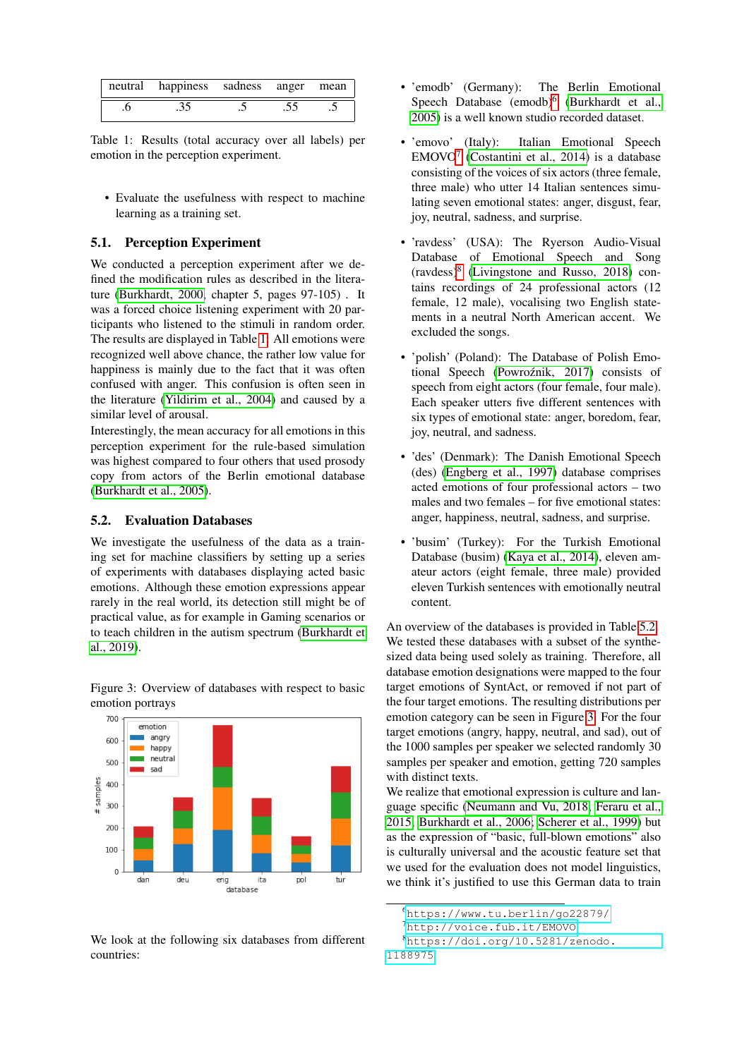| neutral happiness sadness anger mean |  |  |
|--------------------------------------|--|--|
|                                      |  |  |

<span id="page-4-0"></span>Table 1: Results (total accuracy over all labels) per emotion in the perception experiment.

• Evaluate the usefulness with respect to machine learning as a training set.

### 5.1. Perception Experiment

We conducted a perception experiment after we defined the modification rules as described in the literature [\(Burkhardt, 2000,](#page-6-2) chapter 5, pages 97-105) . It was a forced choice listening experiment with 20 participants who listened to the stimuli in random order. The results are displayed in Table [1.](#page-4-0) All emotions were recognized well above chance, the rather low value for happiness is mainly due to the fact that it was often confused with anger. This confusion is often seen in the literature [\(Yildirim et al., 2004\)](#page-8-2) and caused by a similar level of arousal.

Interestingly, the mean accuracy for all emotions in this perception experiment for the rule-based simulation was highest compared to four others that used prosody copy from actors of the Berlin emotional database [\(Burkhardt et al., 2005\)](#page-6-3).

#### 5.2. Evaluation Databases

We investigate the usefulness of the data as a training set for machine classifiers by setting up a series of experiments with databases displaying acted basic emotions. Although these emotion expressions appear rarely in the real world, its detection still might be of practical value, as for example in Gaming scenarios or to teach children in the autism spectrum [\(Burkhardt et](#page-6-4) [al., 2019\)](#page-6-4).



<span id="page-4-4"></span>Figure 3: Overview of databases with respect to basic emotion portrays

We look at the following six databases from different countries:

- 'emodb' (Germany): The Berlin Emotional Speech Database (emodb)<sup>[6](#page-4-1)</sup> [\(Burkhardt et al.,](#page-6-3) [2005\)](#page-6-3) is a well known studio recorded dataset.
- 'emovo' (Italy): Italian Emotional Speech  $EMOVO<sup>7</sup>$  $EMOVO<sup>7</sup>$  $EMOVO<sup>7</sup>$  [\(Costantini et al., 2014\)](#page-7-13) is a database consisting of the voices of six actors (three female, three male) who utter 14 Italian sentences simulating seven emotional states: anger, disgust, fear, joy, neutral, sadness, and surprise.
- 'ravdess' (USA): The Ryerson Audio-Visual Database of Emotional Speech and Song (ravdess)[8](#page-4-3) [\(Livingstone and Russo, 2018\)](#page-7-14) contains recordings of 24 professional actors (12 female, 12 male), vocalising two English statements in a neutral North American accent. We excluded the songs.
- 'polish' (Poland): The Database of Polish Emotional Speech (Powroźnik, 2017) consists of speech from eight actors (four female, four male). Each speaker utters five different sentences with six types of emotional state: anger, boredom, fear, joy, neutral, and sadness.
- 'des' (Denmark): The Danish Emotional Speech (des) [\(Engberg et al., 1997\)](#page-7-16) database comprises acted emotions of four professional actors – two males and two females – for five emotional states: anger, happiness, neutral, sadness, and surprise.
- 'busim' (Turkey): For the Turkish Emotional Database (busim) [\(Kaya et al., 2014\)](#page-7-17), eleven amateur actors (eight female, three male) provided eleven Turkish sentences with emotionally neutral content.

An overview of the databases is provided in Table [5.2.](#page-5-0) We tested these databases with a subset of the synthesized data being used solely as training. Therefore, all database emotion designations were mapped to the four target emotions of SyntAct, or removed if not part of the four target emotions. The resulting distributions per emotion category can be seen in Figure [3.](#page-4-4) For the four target emotions (angry, happy, neutral, and sad), out of the 1000 samples per speaker we selected randomly 30 samples per speaker and emotion, getting 720 samples with distinct texts.

We realize that emotional expression is culture and language specific [\(Neumann and Vu, 2018;](#page-7-18) [Feraru et al.,](#page-7-19) [2015;](#page-7-19) [Burkhardt et al., 2006;](#page-6-5) [Scherer et al., 1999\)](#page-7-20) but as the expression of "basic, full-blown emotions" also is culturally universal and the acoustic feature set that we used for the evaluation does not model linguistics, we think it's justified to use this German data to train

```
8https://doi.org/10.5281/zenodo.
1188975
```
<span id="page-4-1"></span><sup>6</sup><https://www.tu.berlin/go22879/>

<span id="page-4-3"></span><span id="page-4-2"></span><sup>7</sup><http://voice.fub.it/EMOVO>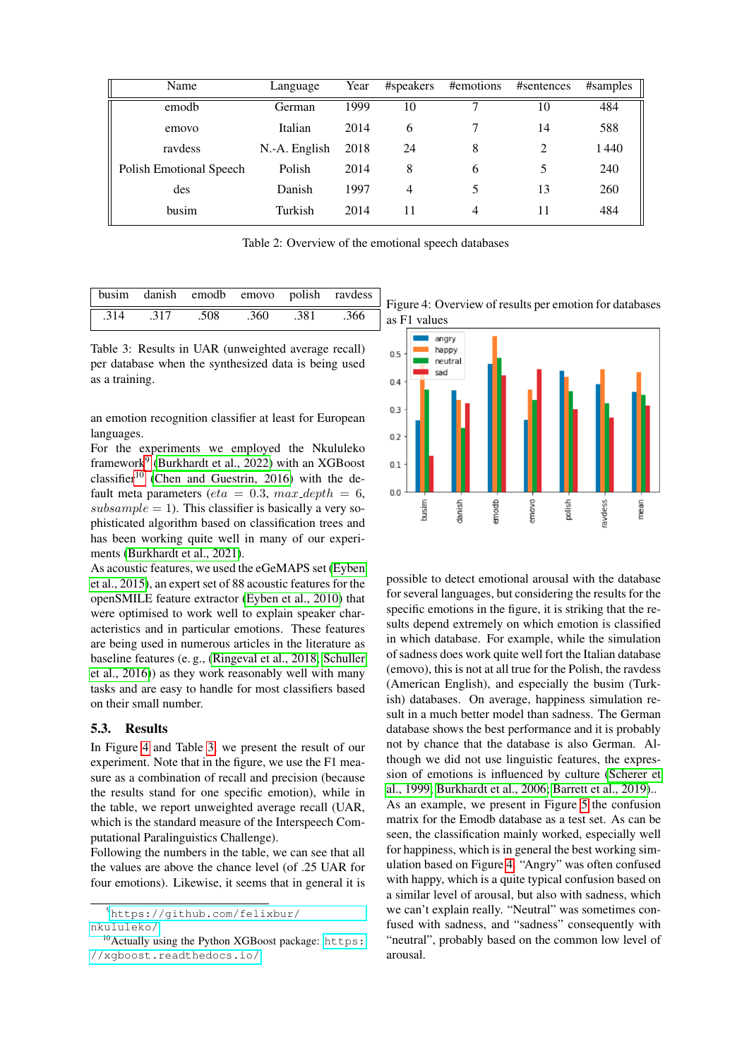| Language      | Year | #speakers | #emotions | #sentences | #samples |
|---------------|------|-----------|-----------|------------|----------|
| German        | 1999 | 10        | ⇁         | 10         | 484      |
| Italian       | 2014 | 6         |           | 14         | 588      |
| N.-A. English | 2018 | 24        | 8         | 2          | 1440     |
| Polish        | 2014 | 8         | 6         |            | 240      |
| Danish        | 1997 | 4         | 5         | 13         | 260      |
| Turkish       | 2014 | 11        | 4         | 11         | 484      |
|               |      |           |           |            |          |

<span id="page-5-0"></span>Table 2: Overview of the emotional speech databases

|      |      |      |      |      | busim danish emodb emovo polish ravdess |
|------|------|------|------|------|-----------------------------------------|
| .314 | .317 | .508 | .360 | .381 | .366                                    |

<span id="page-5-4"></span>Table 3: Results in UAR (unweighted average recall) per database when the synthesized data is being used as a training.

an emotion recognition classifier at least for European languages.

For the experiments we employed the Nkululeko framework<sup>[9](#page-5-1)</sup> [\(Burkhardt et al., 2022\)](#page-6-6) with an XGBoost classifier<sup>[10](#page-5-2)</sup> [\(Chen and Guestrin, 2016\)](#page-7-21) with the default meta parameters (eta = 0.3, max\_depth = 6,  $subsample = 1$ ). This classifier is basically a very sophisticated algorithm based on classification trees and has been working quite well in many of our experiments [\(Burkhardt et al., 2021\)](#page-6-7).

As acoustic features, we used the eGeMAPS set [\(Eyben](#page-7-12) [et al., 2015\)](#page-7-12), an expert set of 88 acoustic features for the openSMILE feature extractor [\(Eyben et al., 2010\)](#page-7-22) that were optimised to work well to explain speaker characteristics and in particular emotions. These features are being used in numerous articles in the literature as baseline features (e. g., [\(Ringeval et al., 2018;](#page-7-23) [Schuller](#page-7-24) [et al., 2016\)](#page-7-24)) as they work reasonably well with many tasks and are easy to handle for most classifiers based on their small number.

#### 5.3. Results

In Figure [4](#page-5-3) and Table [3,](#page-5-4) we present the result of our experiment. Note that in the figure, we use the F1 measure as a combination of recall and precision (because the results stand for one specific emotion), while in the table, we report unweighted average recall (UAR, which is the standard measure of the Interspeech Computational Paralinguistics Challenge).

Following the numbers in the table, we can see that all the values are above the chance level (of .25 UAR for four emotions). Likewise, it seems that in general it is

<span id="page-5-1"></span><sup>9</sup>[https://github.com/felixbur/](https://github.com/felixbur/nkululeko/) [nkululeko/](https://github.com/felixbur/nkululeko/)

<span id="page-5-3"></span>Figure 4: Overview of results per emotion for databases as F1 values



possible to detect emotional arousal with the database for several languages, but considering the results for the specific emotions in the figure, it is striking that the results depend extremely on which emotion is classified in which database. For example, while the simulation of sadness does work quite well fort the Italian database (emovo), this is not at all true for the Polish, the ravdess (American English), and especially the busim (Turkish) databases. On average, happiness simulation result in a much better model than sadness. The German database shows the best performance and it is probably not by chance that the database is also German. Although we did not use linguistic features, the expression of emotions is influenced by culture [\(Scherer et](#page-7-20) [al., 1999;](#page-7-20) [Burkhardt et al., 2006;](#page-6-5) [Barrett et al., 2019\)](#page-6-8).. As an example, we present in Figure [5](#page-6-9) the confusion matrix for the Emodb database as a test set. As can be seen, the classification mainly worked, especially well for happiness, which is in general the best working simulation based on Figure [4.](#page-5-3) "Angry" was often confused with happy, which is a quite typical confusion based on a similar level of arousal, but also with sadness, which we can't explain really. "Neutral" was sometimes confused with sadness, and "sadness" consequently with "neutral", probably based on the common low level of arousal.

<span id="page-5-2"></span> $10$ Actually using the Python XGBoost package: [https:](https://xgboost.readthedocs.io/) [//xgboost.readthedocs.io/](https://xgboost.readthedocs.io/)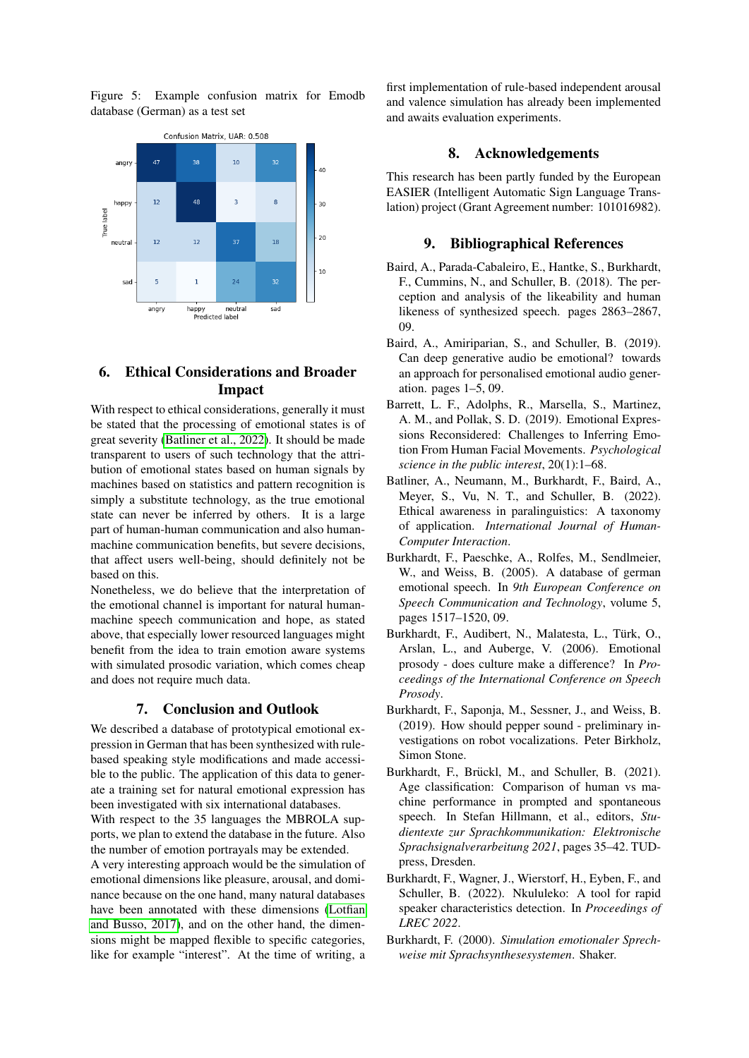<span id="page-6-9"></span>Figure 5: Example confusion matrix for Emodb database (German) as a test set



# 6. Ethical Considerations and Broader Impact

With respect to ethical considerations, generally it must be stated that the processing of emotional states is of great severity [\(Batliner et al., 2022\)](#page-6-10). It should be made transparent to users of such technology that the attribution of emotional states based on human signals by machines based on statistics and pattern recognition is simply a substitute technology, as the true emotional state can never be inferred by others. It is a large part of human-human communication and also humanmachine communication benefits, but severe decisions, that affect users well-being, should definitely not be based on this.

Nonetheless, we do believe that the interpretation of the emotional channel is important for natural humanmachine speech communication and hope, as stated above, that especially lower resourced languages might benefit from the idea to train emotion aware systems with simulated prosodic variation, which comes cheap and does not require much data.

### 7. Conclusion and Outlook

We described a database of prototypical emotional expression in German that has been synthesized with rulebased speaking style modifications and made accessible to the public. The application of this data to generate a training set for natural emotional expression has been investigated with six international databases.

With respect to the 35 languages the MBROLA supports, we plan to extend the database in the future. Also the number of emotion portrayals may be extended.

A very interesting approach would be the simulation of emotional dimensions like pleasure, arousal, and dominance because on the one hand, many natural databases have been annotated with these dimensions [\(Lotfian](#page-7-25) [and Busso, 2017\)](#page-7-25), and on the other hand, the dimensions might be mapped flexible to specific categories, like for example "interest". At the time of writing, a

first implementation of rule-based independent arousal and valence simulation has already been implemented and awaits evaluation experiments.

### 8. Acknowledgements

This research has been partly funded by the European EASIER (Intelligent Automatic Sign Language Translation) project (Grant Agreement number: 101016982).

### 9. Bibliographical References

- <span id="page-6-1"></span>Baird, A., Parada-Cabaleiro, E., Hantke, S., Burkhardt, F., Cummins, N., and Schuller, B. (2018). The perception and analysis of the likeability and human likeness of synthesized speech. pages 2863–2867, 09.
- <span id="page-6-0"></span>Baird, A., Amiriparian, S., and Schuller, B. (2019). Can deep generative audio be emotional? towards an approach for personalised emotional audio generation. pages 1–5, 09.
- <span id="page-6-8"></span>Barrett, L. F., Adolphs, R., Marsella, S., Martinez, A. M., and Pollak, S. D. (2019). Emotional Expressions Reconsidered: Challenges to Inferring Emotion From Human Facial Movements. *Psychological science in the public interest*, 20(1):1–68.
- <span id="page-6-10"></span>Batliner, A., Neumann, M., Burkhardt, F., Baird, A., Meyer, S., Vu, N. T., and Schuller, B. (2022). Ethical awareness in paralinguistics: A taxonomy of application. *International Journal of Human-Computer Interaction*.
- <span id="page-6-3"></span>Burkhardt, F., Paeschke, A., Rolfes, M., Sendlmeier, W., and Weiss, B. (2005). A database of german emotional speech. In *9th European Conference on Speech Communication and Technology*, volume 5, pages 1517–1520, 09.
- <span id="page-6-5"></span>Burkhardt, F., Audibert, N., Malatesta, L., Türk, O., Arslan, L., and Auberge, V. (2006). Emotional prosody - does culture make a difference? In *Proceedings of the International Conference on Speech Prosody*.
- <span id="page-6-4"></span>Burkhardt, F., Saponja, M., Sessner, J., and Weiss, B. (2019). How should pepper sound - preliminary investigations on robot vocalizations. Peter Birkholz, Simon Stone.
- <span id="page-6-7"></span>Burkhardt, F., Brückl, M., and Schuller, B. (2021). Age classification: Comparison of human vs machine performance in prompted and spontaneous speech. In Stefan Hillmann, et al., editors, *Studientexte zur Sprachkommunikation: Elektronische Sprachsignalverarbeitung 2021*, pages 35–42. TUDpress, Dresden.
- <span id="page-6-6"></span>Burkhardt, F., Wagner, J., Wierstorf, H., Eyben, F., and Schuller, B. (2022). Nkululeko: A tool for rapid speaker characteristics detection. In *Proceedings of LREC 2022*.
- <span id="page-6-2"></span>Burkhardt, F. (2000). *Simulation emotionaler Sprechweise mit Sprachsynthesesystemen*. Shaker.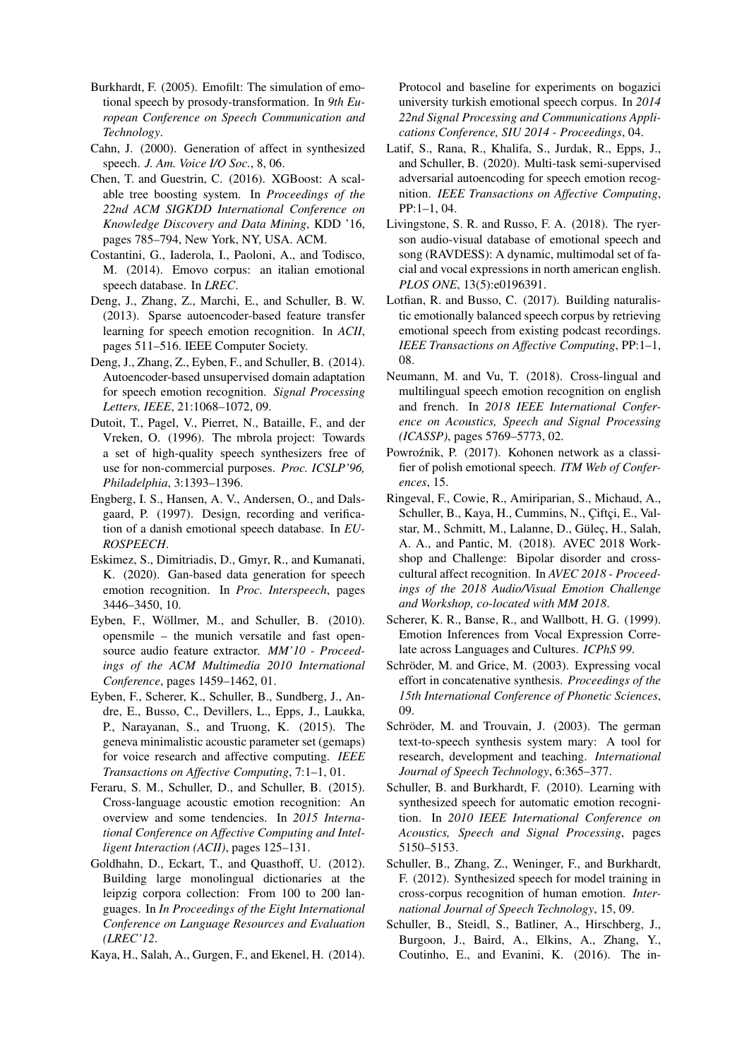- <span id="page-7-6"></span>Burkhardt, F. (2005). Emofilt: The simulation of emotional speech by prosody-transformation. In *9th European Conference on Speech Communication and Technology*.
- <span id="page-7-11"></span>Cahn, J. (2000). Generation of affect in synthesized speech. *J. Am. Voice I/O Soc.*, 8, 06.
- <span id="page-7-21"></span>Chen, T. and Guestrin, C. (2016). XGBoost: A scalable tree boosting system. In *Proceedings of the 22nd ACM SIGKDD International Conference on Knowledge Discovery and Data Mining*, KDD '16, pages 785–794, New York, NY, USA. ACM.
- <span id="page-7-13"></span>Costantini, G., Iaderola, I., Paoloni, A., and Todisco, M. (2014). Emovo corpus: an italian emotional speech database. In *LREC*.
- <span id="page-7-3"></span>Deng, J., Zhang, Z., Marchi, E., and Schuller, B. W. (2013). Sparse autoencoder-based feature transfer learning for speech emotion recognition. In *ACII*, pages 511–516. IEEE Computer Society.
- <span id="page-7-2"></span>Deng, J., Zhang, Z., Eyben, F., and Schuller, B. (2014). Autoencoder-based unsupervised domain adaptation for speech emotion recognition. *Signal Processing Letters, IEEE*, 21:1068–1072, 09.
- <span id="page-7-7"></span>Dutoit, T., Pagel, V., Pierret, N., Bataille, F., and der Vreken, O. (1996). The mbrola project: Towards a set of high-quality speech synthesizers free of use for non-commercial purposes. *Proc. ICSLP'96, Philadelphia*, 3:1393–1396.
- <span id="page-7-16"></span>Engberg, I. S., Hansen, A. V., Andersen, O., and Dalsgaard, P. (1997). Design, recording and verification of a danish emotional speech database. In *EU-ROSPEECH*.
- <span id="page-7-5"></span>Eskimez, S., Dimitriadis, D., Gmyr, R., and Kumanati, K. (2020). Gan-based data generation for speech emotion recognition. In *Proc. Interspeech*, pages 3446–3450, 10.
- <span id="page-7-22"></span>Eyben, F., Wöllmer, M., and Schuller, B. (2010). opensmile – the munich versatile and fast opensource audio feature extractor. *MM'10 - Proceedings of the ACM Multimedia 2010 International Conference*, pages 1459–1462, 01.
- <span id="page-7-12"></span>Eyben, F., Scherer, K., Schuller, B., Sundberg, J., Andre, E., Busso, C., Devillers, L., Epps, J., Laukka, P., Narayanan, S., and Truong, K. (2015). The geneva minimalistic acoustic parameter set (gemaps) for voice research and affective computing. *IEEE Transactions on Affective Computing*, 7:1–1, 01.
- <span id="page-7-19"></span>Feraru, S. M., Schuller, D., and Schuller, B. (2015). Cross-language acoustic emotion recognition: An overview and some tendencies. In *2015 International Conference on Affective Computing and Intelligent Interaction (ACII)*, pages 125–131.
- <span id="page-7-9"></span>Goldhahn, D., Eckart, T., and Quasthoff, U. (2012). Building large monolingual dictionaries at the leipzig corpora collection: From 100 to 200 languages. In *In Proceedings of the Eight International Conference on Language Resources and Evaluation (LREC'12*.
- <span id="page-7-17"></span>Kaya, H., Salah, A., Gurgen, F., and Ekenel, H. (2014).

Protocol and baseline for experiments on bogazici university turkish emotional speech corpus. In *2014 22nd Signal Processing and Communications Applications Conference, SIU 2014 - Proceedings*, 04.

- <span id="page-7-4"></span>Latif, S., Rana, R., Khalifa, S., Jurdak, R., Epps, J., and Schuller, B. (2020). Multi-task semi-supervised adversarial autoencoding for speech emotion recognition. *IEEE Transactions on Affective Computing*, PP:1–1, 04.
- <span id="page-7-14"></span>Livingstone, S. R. and Russo, F. A. (2018). The ryerson audio-visual database of emotional speech and song (RAVDESS): A dynamic, multimodal set of facial and vocal expressions in north american english. *PLOS ONE*, 13(5):e0196391.
- <span id="page-7-25"></span>Lotfian, R. and Busso, C. (2017). Building naturalistic emotionally balanced speech corpus by retrieving emotional speech from existing podcast recordings. *IEEE Transactions on Affective Computing*, PP:1–1, 08.
- <span id="page-7-18"></span>Neumann, M. and Vu, T. (2018). Cross-lingual and multilingual speech emotion recognition on english and french. In *2018 IEEE International Conference on Acoustics, Speech and Signal Processing (ICASSP)*, pages 5769–5773, 02.
- <span id="page-7-15"></span>Powroźnik, P. (2017). Kohonen network as a classifier of polish emotional speech. *ITM Web of Conferences*, 15.
- <span id="page-7-23"></span>Ringeval, F., Cowie, R., Amiriparian, S., Michaud, A., Schuller, B., Kaya, H., Cummins, N., Çiftçi, E., Valstar, M., Schmitt, M., Lalanne, D., Gülec, H., Salah, A. A., and Pantic, M. (2018). AVEC 2018 Workshop and Challenge: Bipolar disorder and crosscultural affect recognition. In *AVEC 2018 - Proceedings of the 2018 Audio/Visual Emotion Challenge and Workshop, co-located with MM 2018*.
- <span id="page-7-20"></span>Scherer, K. R., Banse, R., and Wallbott, H. G. (1999). Emotion Inferences from Vocal Expression Correlate across Languages and Cultures. *ICPhS 99*.
- <span id="page-7-10"></span>Schröder, M. and Grice, M. (2003). Expressing vocal effort in concatenative synthesis. *Proceedings of the 15th International Conference of Phonetic Sciences*, 09.
- <span id="page-7-8"></span>Schröder, M. and Trouvain, J. (2003). The german text-to-speech synthesis system mary: A tool for research, development and teaching. *International Journal of Speech Technology*, 6:365–377.
- <span id="page-7-0"></span>Schuller, B. and Burkhardt, F. (2010). Learning with synthesized speech for automatic emotion recognition. In *2010 IEEE International Conference on Acoustics, Speech and Signal Processing*, pages 5150–5153.
- <span id="page-7-1"></span>Schuller, B., Zhang, Z., Weninger, F., and Burkhardt, F. (2012). Synthesized speech for model training in cross-corpus recognition of human emotion. *International Journal of Speech Technology*, 15, 09.
- <span id="page-7-24"></span>Schuller, B., Steidl, S., Batliner, A., Hirschberg, J., Burgoon, J., Baird, A., Elkins, A., Zhang, Y., Coutinho, E., and Evanini, K. (2016). The in-